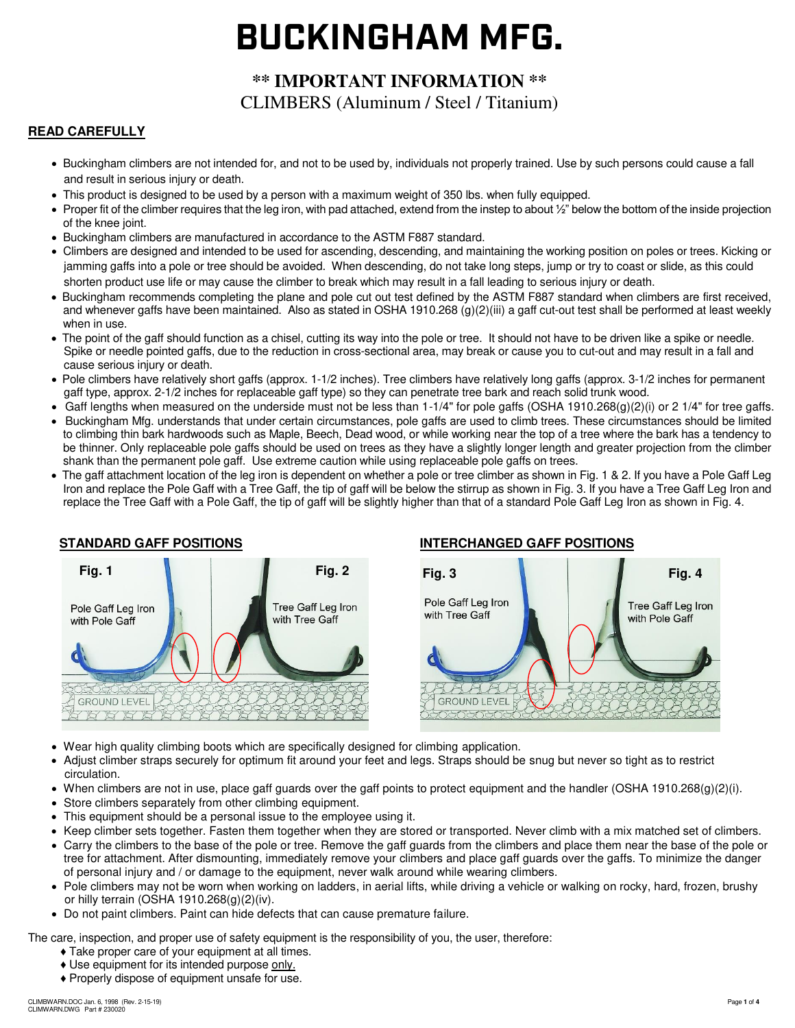# **BUCKINGHAM MFG.**

# **\*\* IMPORTANT INFORMATION \*\***  CLIMBERS (Aluminum / Steel / Titanium)

#### **READ CAREFULLY** Ξ

- Buckingham climbers are not intended for, and not to be used by, individuals not properly trained. Use by such persons could cause a fall and result in serious injury or death.
- This product is designed to be used by a person with a maximum weight of 350 lbs. when fully equipped.
- Proper fit of the climber requires that the leg iron, with pad attached, extend from the instep to about  $\frac{1}{2}$ " below the bottom of the inside projection of the knee joint.
- Buckingham climbers are manufactured in accordance to the ASTM F887 standard.
- Climbers are designed and intended to be used for ascending, descending, and maintaining the working position on poles or trees. Kicking or jamming gaffs into a pole or tree should be avoided. When descending, do not take long steps, jump or try to coast or slide, as this could shorten product use life or may cause the climber to break which may result in a fall leading to serious injury or death.
- Buckingham recommends completing the plane and pole cut out test defined by the ASTM F887 standard when climbers are first received, and whenever gaffs have been maintained. Also as stated in OSHA 1910.268 (g)(2)(iii) a gaff cut-out test shall be performed at least weekly when in use.
- The point of the gaff should function as a chisel, cutting its way into the pole or tree. It should not have to be driven like a spike or needle. Spike or needle pointed gaffs, due to the reduction in cross-sectional area, may break or cause you to cut-out and may result in a fall and cause serious injury or death.
- Pole climbers have relatively short gaffs (approx. 1-1/2 inches). Tree climbers have relatively long gaffs (approx. 3-1/2 inches for permanent gaff type, approx. 2-1/2 inches for replaceable gaff type) so they can penetrate tree bark and reach solid trunk wood.
- Gaff lengths when measured on the underside must not be less than 1-1/4" for pole gaffs (OSHA 1910.268(g)(2)(i) or 2 1/4" for tree gaffs.
- Buckingham Mfg. understands that under certain circumstances, pole gaffs are used to climb trees. These circumstances should be limited to climbing thin bark hardwoods such as Maple, Beech, Dead wood, or while working near the top of a tree where the bark has a tendency to be thinner. Only replaceable pole gaffs should be used on trees as they have a slightly longer length and greater projection from the climber shank than the permanent pole gaff. Use extreme caution while using replaceable pole gaffs on trees.
- The gaff attachment location of the leg iron is dependent on whether a pole or tree climber as shown in Fig. 1 & 2. If you have a Pole Gaff Leg Iron and replace the Pole Gaff with a Tree Gaff, the tip of gaff will be below the stirrup as shown in Fig. 3. If you have a Tree Gaff Leg Iron and replace the Tree Gaff with a Pole Gaff, the tip of gaff will be slightly higher than that of a standard Pole Gaff Leg Iron as shown in Fig. 4.



# **STANDARD GAFF POSITIONS INTERCHANGED GAFF POSITIONS**



- Wear high quality climbing boots which are specifically designed for climbing application.
- Adjust climber straps securely for optimum fit around your feet and legs. Straps should be snug but never so tight as to restrict circulation.
- When climbers are not in use, place gaff guards over the gaff points to protect equipment and the handler (OSHA 1910.268(g)(2)(i).
- Store climbers separately from other climbing equipment.
- This equipment should be a personal issue to the employee using it.
- Keep climber sets together. Fasten them together when they are stored or transported. Never climb with a mix matched set of climbers.
- Carry the climbers to the base of the pole or tree. Remove the gaff guards from the climbers and place them near the base of the pole or tree for attachment. After dismounting, immediately remove your climbers and place gaff guards over the gaffs. To minimize the danger of personal injury and / or damage to the equipment, never walk around while wearing climbers.
- •Pole climbers may not be worn when working on ladders, in aerial lifts, while driving a vehicle or walking on rocky, hard, frozen, brushy or hilly terrain (OSHA 1910.268(g)(2)(iv).
- Do not paint climbers. Paint can hide defects that can cause premature failure.

The care, inspection, and proper use of safety equipment is the responsibility of you, the user, therefore:

- ♦ Take proper care of your equipment at all times.
- ♦ Use equipment for its intended purpose only.
- ♦ Properly dispose of equipment unsafe for use.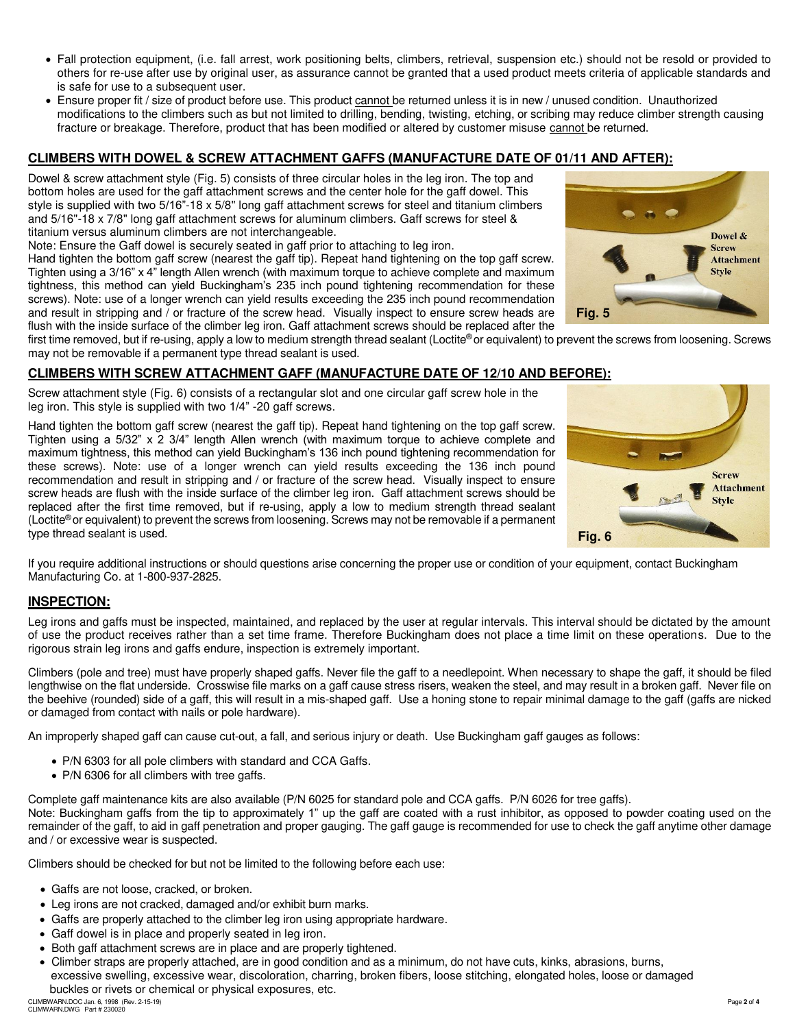- Fall protection equipment, (i.e. fall arrest, work positioning belts, climbers, retrieval, suspension etc.) should not be resold or provided to others for re-use after use by original user, as assurance cannot be granted that a used product meets criteria of applicable standards and is safe for use to a subsequent user.
- Ensure proper fit / size of product before use. This product cannot be returned unless it is in new / unused condition. Unauthorized modifications to the climbers such as but not limited to drilling, bending, twisting, etching, or scribing may reduce climber strength causing fracture or breakage. Therefore, product that has been modified or altered by customer misuse cannot be returned.

#### **CLIMBERS WITH DOWEL & SCREW ATTACHMENT GAFFS (MANUFACTURE DATE OF 01/11 AND AFTER):**

Dowel & screw attachment style (Fig. 5) consists of three circular holes in the leg iron. The top and bottom holes are used for the gaff attachment screws and the center hole for the gaff dowel. This style is supplied with two 5/16"-18 x 5/8" long gaff attachment screws for steel and titanium climbers and 5/16"-18 x 7/8" long gaff attachment screws for aluminum climbers. Gaff screws for steel & titanium versus aluminum climbers are not interchangeable.

Note: Ensure the Gaff dowel is securely seated in gaff prior to attaching to leg iron.

Hand tighten the bottom gaff screw (nearest the gaff tip). Repeat hand tightening on the top gaff screw. Tighten using a 3/16" x 4" length Allen wrench (with maximum torque to achieve complete and maximum tightness, this method can yield Buckingham's 235 inch pound tightening recommendation for these screws). Note: use of a longer wrench can yield results exceeding the 235 inch pound recommendation and result in stripping and / or fracture of the screw head. Visually inspect to ensure screw heads are flush with the inside surface of the climber leg iron. Gaff attachment screws should be replaced after the



first time removed, but if re-using, apply a low to medium strength thread sealant (Loctite® or equivalent) to prevent the screws from loosening. Screws may not be removable if a permanent type thread sealant is used.

#### **CLIMBERS WITH SCREW ATTACHMENT GAFF (MANUFACTURE DATE OF 12/10 AND BEFORE):**

Screw attachment style (Fig. 6) consists of a rectangular slot and one circular gaff screw hole in the leg iron. This style is supplied with two 1/4" -20 gaff screws.

Hand tighten the bottom gaff screw (nearest the gaff tip). Repeat hand tightening on the top gaff screw. Tighten using a 5/32" x 2 3/4" length Allen wrench (with maximum torque to achieve complete and maximum tightness, this method can yield Buckingham's 136 inch pound tightening recommendation for these screws). Note: use of a longer wrench can yield results exceeding the 136 inch pound recommendation and result in stripping and / or fracture of the screw head. Visually inspect to ensure screw heads are flush with the inside surface of the climber leg iron. Gaff attachment screws should be replaced after the first time removed, but if re-using, apply a low to medium strength thread sealant (Loctite<sup>®</sup> or equivalent) to prevent the screws from loosening. Screws may not be removable if a permanent type thread sealant is used.



If you require additional instructions or should questions arise concerning the proper use or condition of your equipment, contact Buckingham Manufacturing Co. at 1-800-937-2825.

#### **INSPECTION:**

Leg irons and gaffs must be inspected, maintained, and replaced by the user at regular intervals. This interval should be dictated by the amount of use the product receives rather than a set time frame. Therefore Buckingham does not place a time limit on these operations. Due to the rigorous strain leg irons and gaffs endure, inspection is extremely important.

Climbers (pole and tree) must have properly shaped gaffs. Never file the gaff to a needlepoint. When necessary to shape the gaff, it should be filed lengthwise on the flat underside. Crosswise file marks on a gaff cause stress risers, weaken the steel, and may result in a broken gaff. Never file on the beehive (rounded) side of a gaff, this will result in a mis-shaped gaff. Use a honing stone to repair minimal damage to the gaff (gaffs are nicked or damaged from contact with nails or pole hardware).

An improperly shaped gaff can cause cut-out, a fall, and serious injury or death. Use Buckingham gaff gauges as follows:

- P/N 6303 for all pole climbers with standard and CCA Gaffs.
- P/N 6306 for all climbers with tree gaffs.

Complete gaff maintenance kits are also available (P/N 6025 for standard pole and CCA gaffs. P/N 6026 for tree gaffs).

Note: Buckingham gaffs from the tip to approximately 1" up the gaff are coated with a rust inhibitor, as opposed to powder coating used on the remainder of the gaff, to aid in gaff penetration and proper gauging. The gaff gauge is recommended for use to check the gaff anytime other damage and / or excessive wear is suspected.

Climbers should be checked for but not be limited to the following before each use:

- Gaffs are not loose, cracked, or broken.
- Leg irons are not cracked, damaged and/or exhibit burn marks.
- Gaffs are properly attached to the climber leg iron using appropriate hardware.
- Gaff dowel is in place and properly seated in leg iron.
- Both gaff attachment screws are in place and are properly tightened.
- Climber straps are properly attached, are in good condition and as a minimum, do not have cuts, kinks, abrasions, burns, excessive swelling, excessive wear, discoloration, charring, broken fibers, loose stitching, elongated holes, loose or damaged buckles or rivets or chemical or physical exposures, etc.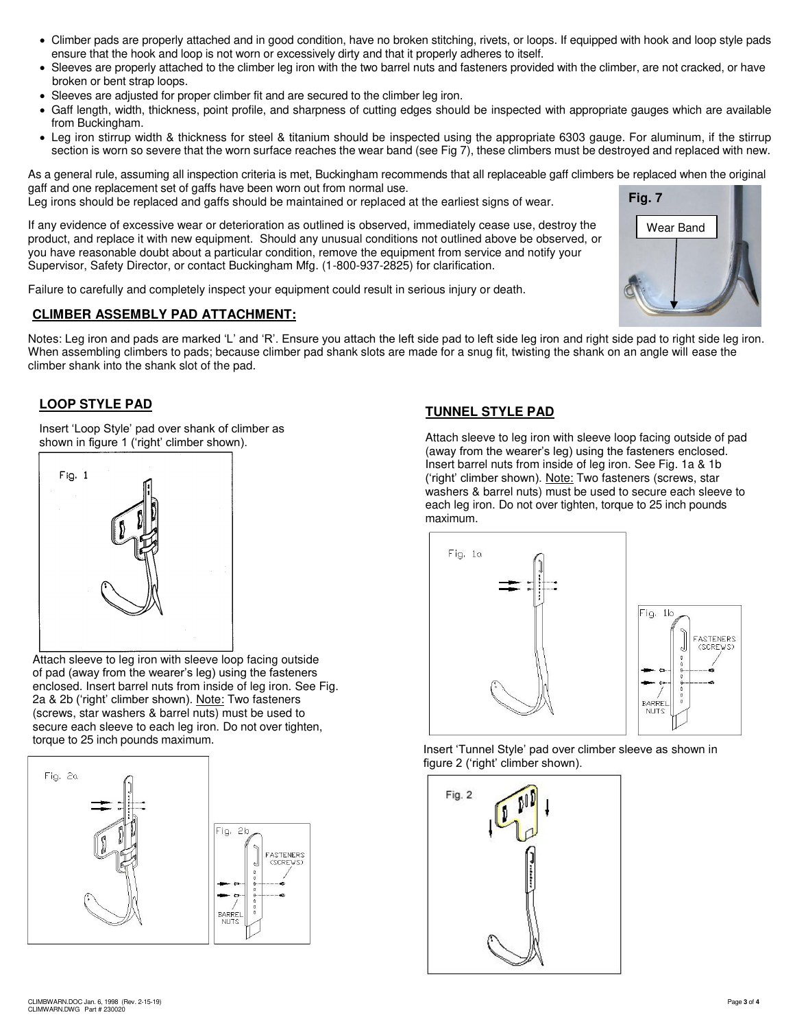- Climber pads are properly attached and in good condition, have no broken stitching, rivets, or loops. If equipped with hook and loop style pads ensure that the hook and loop is not worn or excessively dirty and that it properly adheres to itself.
- Sleeves are properly attached to the climber leg iron with the two barrel nuts and fasteners provided with the climber, are not cracked, or have broken or bent strap loops.
- Sleeves are adjusted for proper climber fit and are secured to the climber leg iron.
- Gaff length, width, thickness, point profile, and sharpness of cutting edges should be inspected with appropriate gauges which are available from Buckingham.
- Leg iron stirrup width & thickness for steel & titanium should be inspected using the appropriate 6303 gauge. For aluminum, if the stirrup section is worn so severe that the worn surface reaches the wear band (see Fig 7), these climbers must be destroyed and replaced with new.

As a general rule, assuming all inspection criteria is met, Buckingham recommends that all replaceable gaff climbers be replaced when the original gaff and one replacement set of gaffs have been worn out from normal use. Leg irons should be replaced and gaffs should be maintained or replaced at the earliest signs of wear. **Fig. 7** 

If any evidence of excessive wear or deterioration as outlined is observed, immediately cease use, destroy the product, and replace it with new equipment. Should any unusual conditions not outlined above be observed, or you have reasonable doubt about a particular condition, remove the equipment from service and notify your Supervisor, Safety Director, or contact Buckingham Mfg. (1-800-937-2825) for clarification.

Failure to carefully and completely inspect your equipment could result in serious injury or death.

# **CLIMBER ASSEMBLY PAD ATTACHMENT:**

Notes: Leg iron and pads are marked 'L' and 'R'. Ensure you attach the left side pad to left side leg iron and right side pad to right side leg iron. When assembling climbers to pads; because climber pad shank slots are made for a snug fit, twisting the shank on an angle will ease the climber shank into the shank slot of the pad.

# **LOOP STYLE PAD**

Insert 'Loop Style' pad over shank of climber as shown in figure 1 ('right' climber shown).



Attach sleeve to leg iron with sleeve loop facing outside of pad (away from the wearer's leg) using the fasteners enclosed. Insert barrel nuts from inside of leg iron. See Fig. 2a & 2b ('right' climber shown). Note: Two fasteners (screws, star washers & barrel nuts) must be used to secure each sleeve to each leg iron. Do not over tighten, torque to 25 inch pounds maximum.



# **TUNNEL STYLE PAD**

Attach sleeve to leg iron with sleeve loop facing outside of pad (away from the wearer's leg) using the fasteners enclosed. Insert barrel nuts from inside of leg iron. See Fig. 1a & 1b ('right' climber shown). Note: Two fasteners (screws, star washers & barrel nuts) must be used to secure each sleeve to each leg iron. Do not over tighten, torque to 25 inch pounds maximum.

Wear Band



Insert 'Tunnel Style' pad over climber sleeve as shown in figure 2 ('right' climber shown).